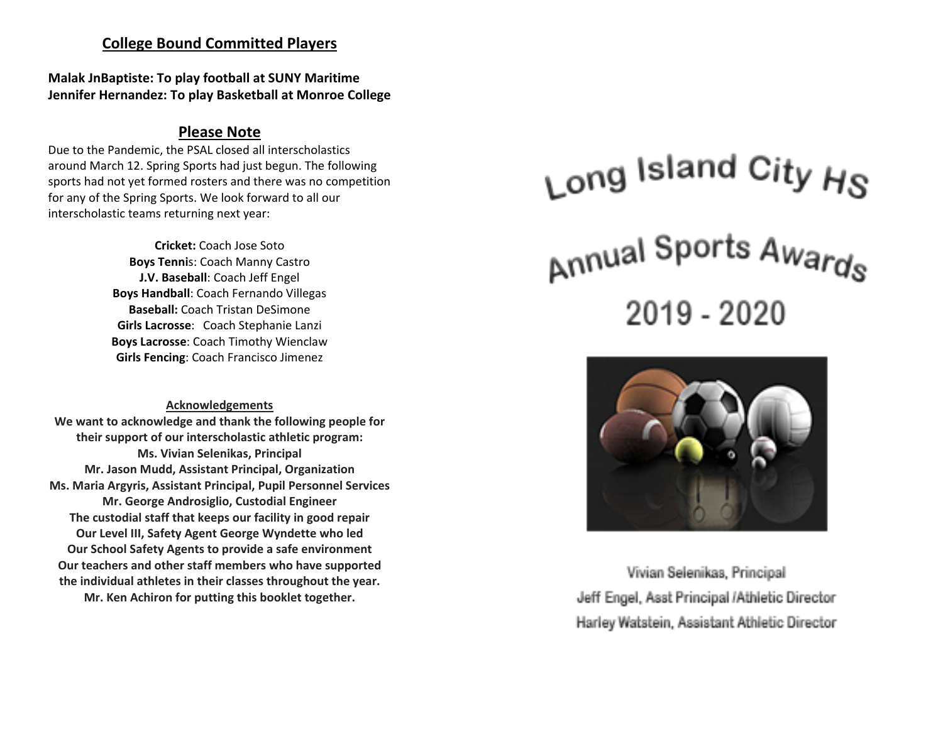# **College Bound Committed Players**

**Malak JnBaptiste: To play football at SUNY Maritime Jennifer Hernandez: To play Basketball at Monroe College**

# **Please Note**

Due to the Pandemic, the PSAL closed all interscholastics around March 12. Spring Sports had just begun. The following sports had not yet formed rosters and there was no competition for any of the Spring Sports. We look forward to all our interscholastic teams returning next year:

> **Cricket:** Coach Jose Soto **Boys Tenni**s: Coach Manny Castro **J.V. Baseball**: Coach Jeff Engel **Boys Handball**: Coach Fernando Villegas **Baseball:** Coach Tristan DeSimone **Girls Lacrosse**: Coach Stephanie Lanzi **Boys Lacrosse**: Coach Timothy Wienclaw **Girls Fencing**: Coach Francisco Jimenez

**Acknowledgements We want to acknowledge and thank the following people for their support of our interscholastic athletic program: Ms. Vivian Selenikas, Principal Mr. Jason Mudd, Assistant Principal, Organization Ms. Maria Argyris, Assistant Principal, Pupil Personnel Services Mr. George Androsiglio, Custodial Engineer The custodial staff that keeps our facility in good repair Our Level III, Safety Agent George Wyndette who led Our School Safety Agents to provide a safe environment Our teachers and other staff members who have supported the individual athletes in their classes throughout the year. Mr. Ken Achiron for putting this booklet together.**

# $_{\mathsf{Long}}$  Island City  $_{\mathsf{H}\mathsf{S}}$ <sub>Annual</sub> Sports Awards 2019 - 2020



Vivian Selenikas, Principal Jeff Engel, Asst Principal /Athletic Director Harley Watstein, Assistant Athletic Director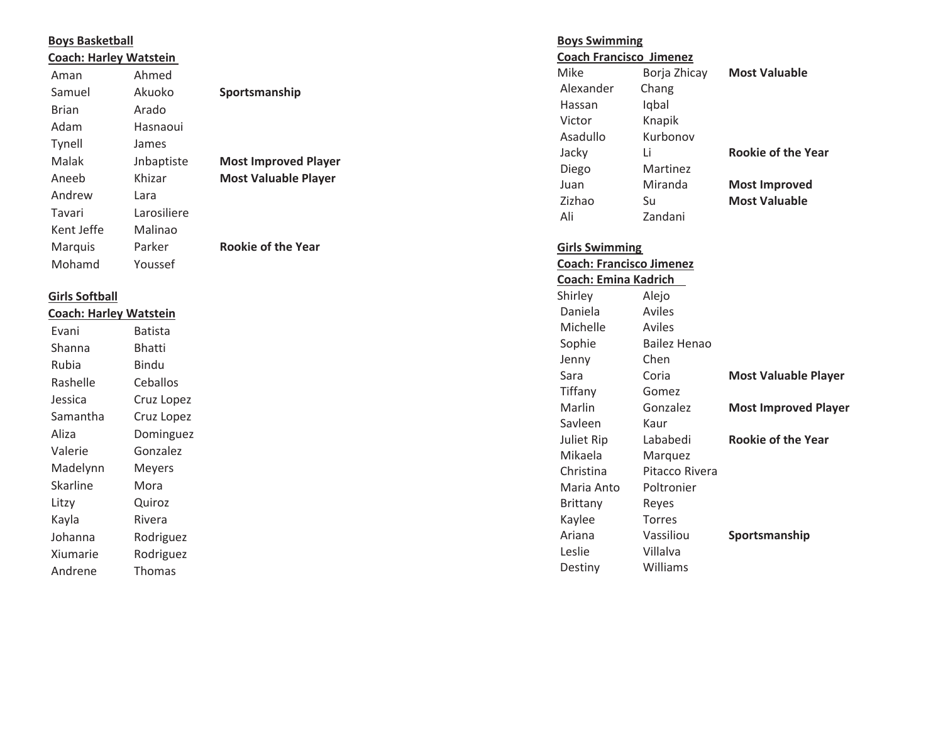#### **Boys Basketball**

| <b>Coach: Harley Watstein</b> |             |                             |
|-------------------------------|-------------|-----------------------------|
| Aman                          | Ahmed       |                             |
| Samuel                        | Akuoko      | Sportsmanship               |
| Brian                         | Arado       |                             |
| Adam                          | Hasnaoui    |                             |
| <b>Tynell</b>                 | James       |                             |
| Malak                         | Jnbaptiste  | <b>Most Improved Player</b> |
| Aneeb                         | Khizar      | <b>Most Valuable Player</b> |
| Andrew                        | Lara        |                             |
| Tavari                        | Larosiliere |                             |
| Kent Jeffe                    | Malinao     |                             |
| Marquis                       | Parker      | <b>Rookie of the Year</b>   |
| Mohamd                        | Youssef     |                             |

#### **Girls Softball**

**Coach: Harley Watstein**

Evani Batista Shanna Bhatti Rubia Bindu Rashelle Ceballos Jessica Cruz Lopez Samantha Cruz Lopez Aliza Dominguez Valerie Gonzalez Madelynn Meyers Skarline Mora Litzy Quiroz Kayla Rivera Johanna Rodriguez Xiumarie Rodriguez Andrene Thomas

#### **Boys Swimming Coach FranciscoJimenez**

| Coach Francisco Jimenez |              |                           |
|-------------------------|--------------|---------------------------|
| Mike                    | Borja Zhicay | <b>Most Valuable</b>      |
| Alexander               | Chang        |                           |
| Hassan                  | Iqbal        |                           |
| Victor                  | Knapik       |                           |
| Asadullo                | Kurbonov     |                           |
| Jacky                   | Ιi           | <b>Rookie of the Year</b> |
| Diego                   | Martinez     |                           |
| Juan                    | Miranda      | <b>Most Improved</b>      |
| Zizhao                  | Su           | <b>Most Valuable</b>      |
| Ali                     | Zandani      |                           |

# **Girls Swimming**

# **Coach: Francisco Jimenez Coach: Emina Kadrich**  Shirley Alejo Daniela Aviles Michelle Aviles Sophie Bailez Henao Jenny Chen Sara Coria **Most Valuable Player** Tiffany Gomez Marlin Gonzalez **Most Improved Player** Savleen Kaur Juliet Rip Lababedi **Rookie of the Year** Mikaela Marquez Christina Pitacco Rivera Maria Anto Poltronier Brittany Reyes Kaylee Torres Ariana Vassiliou **Sportsmanship** Leslie Villalva Destiny Williams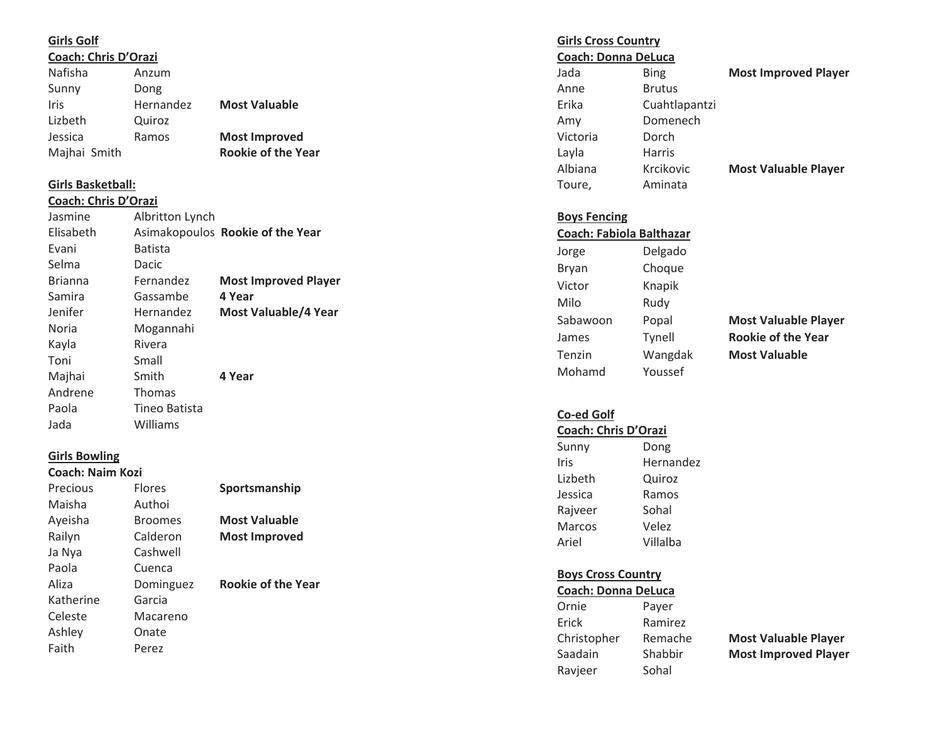#### **Girls Golf**

**Coach: Chris D'Orazi**

| Nafisha      | Anzum     |                           |
|--------------|-----------|---------------------------|
| Sunny        | Dong      |                           |
| Iris         | Hernandez | <b>Most Valuable</b>      |
| Lizbeth      | Quiroz    |                           |
| Jessica      | Ramos     | <b>Most Improved</b>      |
| Majhai Smith |           | <b>Rookie of the Year</b> |

# **Girls Basketball:**

#### **Coach: Chris D'Orazi**

| Jasmine        | Albritton Lynch |                                  |
|----------------|-----------------|----------------------------------|
| Elisabeth      |                 | Asimakopoulos Rookie of the Year |
| Evani          | <b>Batista</b>  |                                  |
| Selma          | Dacic           |                                  |
| <b>Brianna</b> | Fernandez       | <b>Most Improved Player</b>      |
| Samira         | Gassambe        | 4 Year                           |
| Jenifer        | Hernandez       | Most Valuable/4 Year             |
| Noria          | Mogannahi       |                                  |
| Kayla          | Rivera          |                                  |
| Toni           | Small           |                                  |
| Majhai         | Smith           | 4 Year                           |
| Andrene        | <b>Thomas</b>   |                                  |
| Paola          | Tineo Batista   |                                  |
| Jada           | Williams        |                                  |

## **Girls Bowling**

# **Coach: Naim Kozi**

| Precious  | <b>Flores</b>  | Sportsmanship             |
|-----------|----------------|---------------------------|
| Maisha    | Authoi         |                           |
| Ayeisha   | <b>Broomes</b> | <b>Most Valuable</b>      |
| Railyn    | Calderon       | <b>Most Improved</b>      |
| Ja Nya    | Cashwell       |                           |
| Paola     | Cuenca         |                           |
| Aliza     | Dominguez      | <b>Rookie of the Year</b> |
| Katherine | Garcia         |                           |
| Celeste   | Macareno       |                           |
| Ashley    | Onate          |                           |
| Faith     | Perez          |                           |
|           |                |                           |

**Girls Cross Country Coach: Donna DeLuca**

| Jada     | Bing          |
|----------|---------------|
| Anne     | <b>Brutus</b> |
| Erika    | Cuahtlapantzi |
| Amy      | Domenech      |
| Victoria | Dorch         |
| Layla    | <b>Harris</b> |
| Albiana  | Krcikovic     |
| Toure,   | Aminata       |
|          |               |

**Most Improved Player** 

# **Most Valuable Player**

#### **Boys Fencing**

| <b>Coach: Fabiola Balthazar</b> |         |  |  |  |
|---------------------------------|---------|--|--|--|
| Jorge                           | Delgado |  |  |  |
| Bryan                           | Choque  |  |  |  |
| Victor                          | Knapik  |  |  |  |
| Milo                            | Rudy    |  |  |  |
| Sabawoon                        | Popal   |  |  |  |
| James                           | Tynell  |  |  |  |
| Tenzin                          | Wangdak |  |  |  |
| Mohamd                          | Youssef |  |  |  |
|                                 |         |  |  |  |

**Most Valuable Player Rookie of the Year Most Valuable** 

## **Co Ͳed Golf**

# **Coach: Chris D'Orazi**

| Sunny   | Dong      |
|---------|-----------|
| Iris    | Hernandez |
| Lizbeth | Quiroz    |
| Jessica | Ramos     |
| Rajveer | Sohal     |
| Marcos  | Velez     |
| Ariel   | Villalba  |
|         |           |

# **Boys Cross Country**

| <b>Coach: Donna DeLuca</b> |                             |
|----------------------------|-----------------------------|
| Payer                      |                             |
| Ramirez                    |                             |
| Remache                    | <b>Most Valuable Player</b> |
| Shabbir                    | <b>Most Improved Player</b> |
| Sohal                      |                             |
|                            |                             |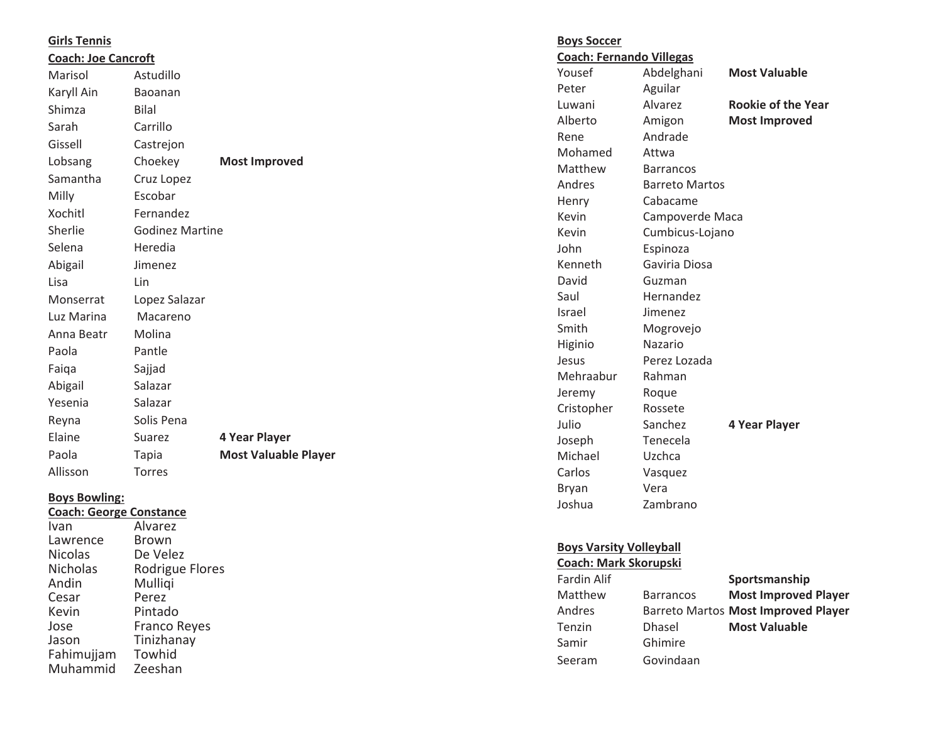| <b>Girls Tennis</b>                                    |                        |                             | <b>Boys Soccer</b>              |                       |                           |
|--------------------------------------------------------|------------------------|-----------------------------|---------------------------------|-----------------------|---------------------------|
| <b>Coach: Joe Cancroft</b>                             |                        |                             | <b>Coach: Fernando Villegas</b> |                       |                           |
| Marisol                                                | Astudillo              |                             | Yousef                          | Abdelghani            | <b>Most Valuable</b>      |
| Karyll Ain                                             | Baoanan                |                             | Peter                           | Aguilar               |                           |
| Shimza                                                 | <b>Bilal</b>           |                             | Luwani                          | Alvarez               | <b>Rookie of the Year</b> |
| Sarah                                                  | Carrillo               |                             | Alberto                         | Amigon                | <b>Most Improved</b>      |
| Gissell                                                | Castrejon              |                             | Rene                            | Andrade               |                           |
| Lobsang                                                | Choekey                | <b>Most Improved</b>        | Mohamed                         | Attwa                 |                           |
| Samantha                                               | Cruz Lopez             |                             | Matthew                         | <b>Barrancos</b>      |                           |
|                                                        |                        |                             | Andres                          | <b>Barreto Martos</b> |                           |
| Milly                                                  | Escobar                |                             | Henry                           | Cabacame              |                           |
| Xochitl                                                | Fernandez              |                             | Kevin                           | Campoverde Maca       |                           |
| Sherlie                                                | <b>Godinez Martine</b> |                             | Kevin                           | Cumbicus-Lojano       |                           |
| Selena                                                 | Heredia                |                             | John                            | Espinoza              |                           |
| Abigail                                                | Jimenez                |                             | Kenneth                         | Gaviria Diosa         |                           |
| Lisa                                                   | Lin                    |                             | David                           | Guzman                |                           |
| Monserrat                                              | Lopez Salazar          |                             | Saul                            | Hernandez             |                           |
| Luz Marina                                             | Macareno               |                             | Israel                          | Jimenez               |                           |
| Anna Beatr                                             | Molina                 |                             | Smith                           | Mogrovejo             |                           |
| Paola                                                  | Pantle                 |                             | Higinio                         | Nazario               |                           |
| Faiqa                                                  | Sajjad                 |                             | Jesus                           | Perez Lozada          |                           |
| Abigail                                                | Salazar                |                             | Mehraabur                       | Rahman                |                           |
|                                                        | Salazar                |                             | Jeremy                          | Roque                 |                           |
| Yesenia                                                |                        |                             | Cristopher                      | Rossete               |                           |
| Reyna                                                  | Solis Pena             |                             | Julio                           | Sanchez               | 4 Year Player             |
| Elaine                                                 | Suarez                 | 4 Year Player               | Joseph                          | Tenecela              |                           |
| Paola                                                  | Tapia                  | <b>Most Valuable Player</b> | Michael                         | Uzchca                |                           |
| Allisson                                               | Torres                 |                             | Carlos                          | Vasquez               |                           |
|                                                        |                        |                             | Bryan                           | Vera                  |                           |
| <b>Boys Bowling:</b><br><b>Coach: George Constance</b> |                        |                             | Joshua                          | Zambrano              |                           |
| Ivan                                                   | Alvarez                |                             |                                 |                       |                           |
| Lawrence                                               | <b>Brown</b>           |                             |                                 |                       |                           |

Lawrence<br>Nicolas

Nicolas De Velez<br>Nicholas Rodrigue

Andin Mulliqi<br>Cesar Perez Cesar Perez<br>
Kevin Pintad Kevin Pintado<br>Jose Franco R Jose Franco Reyes Jason Tinizhanay Fahimujjam Towhid Muhammid Zeeshan

Nicholas Rodrigue Flores<br>
Andin Mulliqi

#### **Boys Varsity Volleyball Coach: Mark Skorupski**

| Fardin Alif |                  | Sportsmanship                       |
|-------------|------------------|-------------------------------------|
| Matthew     | <b>Barrancos</b> | <b>Most Improved Player</b>         |
| Andres      |                  | Barreto Martos Most Improved Player |
| Tenzin      | <b>Dhasel</b>    | <b>Most Valuable</b>                |
| Samir       | Ghimire          |                                     |
| Seeram      | Govindaan        |                                     |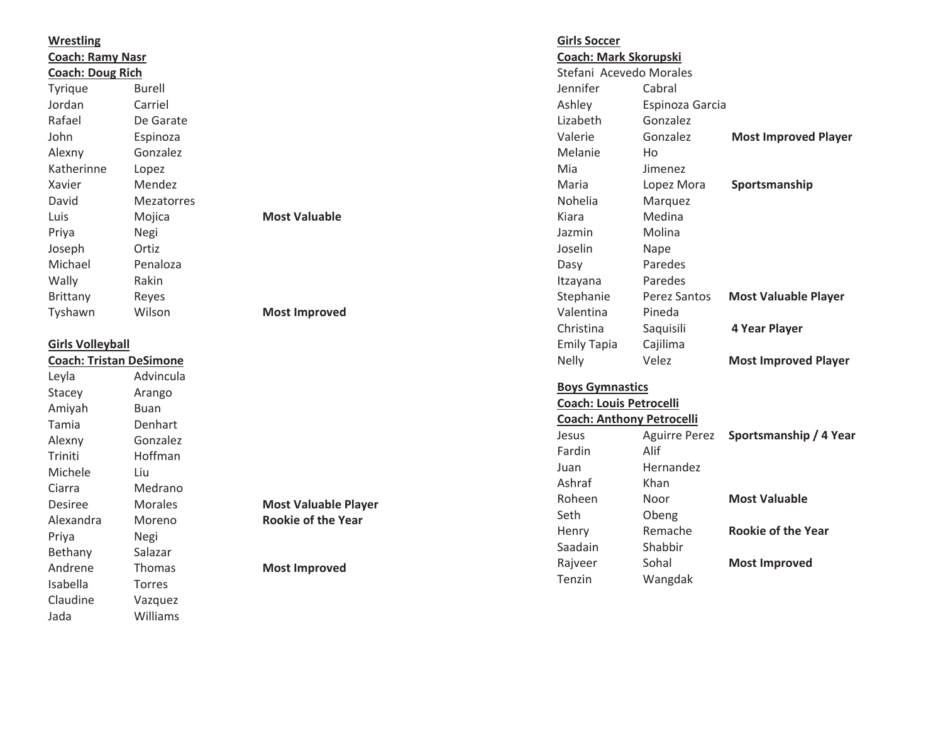| <b>Wrestling</b>               |                   |                             | <b>Girls Soccer</b>              |                              |                             |
|--------------------------------|-------------------|-----------------------------|----------------------------------|------------------------------|-----------------------------|
| <b>Coach: Ramy Nasr</b>        |                   |                             |                                  | <b>Coach: Mark Skorupski</b> |                             |
| <b>Coach: Doug Rich</b>        |                   |                             |                                  | Stefani Acevedo Morales      |                             |
| Tyrique                        | <b>Burell</b>     |                             | Jennifer                         | Cabral                       |                             |
| Jordan                         | Carriel           |                             | Ashley                           | Espinoza Garcia              |                             |
| Rafael                         | De Garate         |                             | Lizabeth                         | Gonzalez                     |                             |
| John                           | Espinoza          |                             | Valerie                          | Gonzalez                     | <b>Most Improved Player</b> |
| Alexny                         | Gonzalez          |                             | Melanie                          | Ho                           |                             |
| Katherinne                     | Lopez             |                             | Mia                              | Jimenez                      |                             |
| Xavier                         | Mendez            |                             | Maria                            | Lopez Mora                   | Sportsmanship               |
| David                          | <b>Mezatorres</b> |                             | Nohelia                          | Marquez                      |                             |
| Luis                           | Mojica            | <b>Most Valuable</b>        | Kiara                            | Medina                       |                             |
| Priya                          | Negi              |                             | Jazmin                           | Molina                       |                             |
| Joseph                         | Ortiz             |                             | Joselin                          | Nape                         |                             |
| Michael                        | Penaloza          |                             | Dasy                             | Paredes                      |                             |
| Wally                          | Rakin             |                             | Itzayana                         | Paredes                      |                             |
| Brittany                       | Reyes             |                             | Stephanie                        | Perez Santos                 | <b>Most Valuable Player</b> |
| Tyshawn                        | Wilson            | <b>Most Improved</b>        | Valentina                        | Pineda                       |                             |
|                                |                   |                             | Christina                        | Saquisili                    | 4 Year Player               |
| <b>Girls Volleyball</b>        |                   |                             | <b>Emily Tapia</b>               | Cajilima                     |                             |
| <b>Coach: Tristan DeSimone</b> |                   |                             | Nelly                            | Velez                        | <b>Most Improved Player</b> |
| Leyla                          | Advincula         |                             |                                  |                              |                             |
| Stacey                         | Arango            |                             | <b>Boys Gymnastics</b>           |                              |                             |
| Amiyah                         | <b>Buan</b>       |                             | <b>Coach: Louis Petrocelli</b>   |                              |                             |
| Tamia                          | Denhart           |                             | <b>Coach: Anthony Petrocelli</b> |                              |                             |
| Alexny                         | Gonzalez          |                             | Jesus                            | <b>Aguirre Perez</b>         | Sportsmanship / 4 Year      |
| Triniti                        | Hoffman           |                             | Fardin                           | Alif                         |                             |
| Michele                        | Liu               |                             | Juan                             | Hernandez                    |                             |
| Ciarra                         | Medrano           |                             | Ashraf                           | Khan                         |                             |
| <b>Desiree</b>                 | Morales           | <b>Most Valuable Player</b> | Roheen                           | Noor                         | <b>Most Valuable</b>        |
| Alexandra                      | Moreno            | <b>Rookie of the Year</b>   | Seth                             | Obeng                        |                             |
| Priya                          | Negi              |                             | Henry                            | Remache                      | <b>Rookie of the Year</b>   |
| Bethany                        | Salazar           |                             | Saadain                          | Shabbir                      |                             |
| Andrene                        | Thomas            | <b>Most Improved</b>        | Rajveer                          | Sohal                        | <b>Most Improved</b>        |
| Isabella                       | <b>Torres</b>     |                             | Tenzin                           | Wangdak                      |                             |
| Claudine                       | Vazquez           |                             |                                  |                              |                             |
| Jada                           | Williams          |                             |                                  |                              |                             |